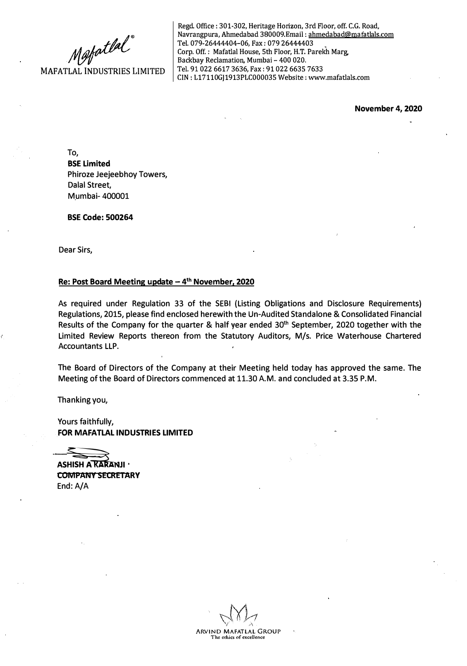Mafatlal

Regd. Office: 301-302, Heritage Horizon, 3rd Floor, off. C.G. Road, Navrangpura, Ahmedabad 380009.Email: ahmedabad@mafatlals.com Tel. 079-26444404-06, Fax: 079 26444403 Corp. Off. : Mafatlal House, 5th Floor, H.T. Parekh Marg, Backbay Reclamation, Mumbai - 400 020. Tel. 91022 6617 3636, Fax: 91 022 6635 7633 CIN: L17110GJ1913PLC000035 Website: www.mafatlals.com

**November 4, 2020**

To, **BSE Limited** Phiroze Jeejeebhoy Towers, Dalal Street, Mumbai- 400001

**BSE Code: 500264**

Dear Sirs,

#### **Re: Post Board Meeting update - 4th November, 2020**

As required under Regulation 33 of the SEBI (Listing Obligations and Disclosure Requirements) Regulations, 2015, please find enclosed herewith the Un-Audited Standalone & Consolidated Financial Results of the Company for the quarter & half year ended 30**th** September, 2020 together with the Limited Review Reports thereon from the Statutory Auditors, M/s. Price Waterhouse Chartered Accountants LLP.

The Board of Directors of the Company at their Meeting held today has approved the same. The Meeting of the Board of Directors commenced at 11.30 A.M. and concluded at 3.35 P.M.

Thanking you,

Yours faithfully, **FOR MAFATLAL INDUSTRIES LIMITED**

**ASHISH A RARANJI · COMPANY SECRETARY** End:A/A

ARVIND MAFATLAL GROUP The ethics of excellence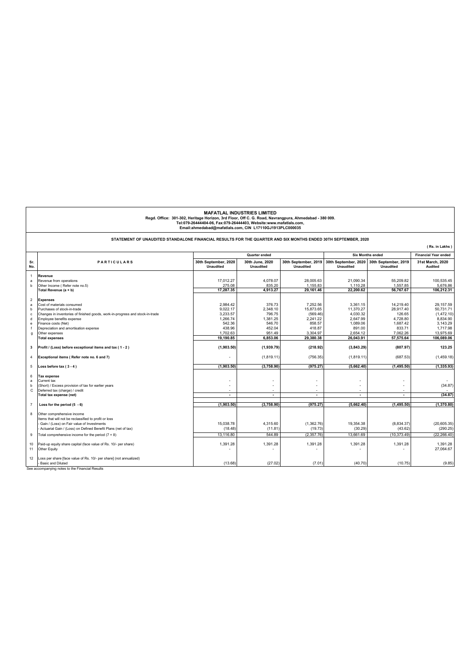|                | <b>MAFATLAL INDUSTRIES LIMITED</b><br>Regd. Office: 301-302, Heritage Horizon, 3rd Floor, Off C. G. Road, Navrangpura, Ahmedabad - 380 009.<br>Tel:079-26444404-06, Fax:079-26444403, Website:www.mafatlals.com,<br>Email:ahmedabad@mafatlals.com, CIN L17110GJ1913PLC000035 |                                          |                                     |                                          |                                          |                                          |                             |  |
|----------------|------------------------------------------------------------------------------------------------------------------------------------------------------------------------------------------------------------------------------------------------------------------------------|------------------------------------------|-------------------------------------|------------------------------------------|------------------------------------------|------------------------------------------|-----------------------------|--|
|                | STATEMENT OF UNAUDITED STANDALONE FINANCIAL RESULTS FOR THE QUARTER AND SIX MONTHS ENDED 30TH SEPTEMBER, 2020                                                                                                                                                                |                                          |                                     |                                          |                                          |                                          |                             |  |
|                |                                                                                                                                                                                                                                                                              |                                          |                                     |                                          |                                          |                                          | (Rs. in Lakhs)              |  |
|                |                                                                                                                                                                                                                                                                              |                                          | Quarter ended                       |                                          |                                          | <b>Six Months ended</b>                  | <b>Financial Year ended</b> |  |
| Sr.<br>No.     | <b>PARTICULARS</b>                                                                                                                                                                                                                                                           | 30th September, 2020<br><b>Unaudited</b> | 30th June, 2020<br><b>Unaudited</b> | 30th September, 2019<br><b>Unaudited</b> | 30th September, 2020<br><b>Unaudited</b> | 30th September, 2019<br><b>Unaudited</b> | 31st March, 2020<br>Audited |  |
| $\overline{1}$ | Revenue                                                                                                                                                                                                                                                                      |                                          |                                     |                                          |                                          |                                          |                             |  |
| a              | Revenue from operations                                                                                                                                                                                                                                                      | 17,012.27                                | 4,078.07                            | 28,005.63                                | 21,090.34                                | 55,209.82                                | 100,535.45                  |  |
| b              | Other Income (Refer note no.5)                                                                                                                                                                                                                                               | 275.08<br>17.287.35                      | 835.20<br>4.913.27                  | 1,155.83<br>29,161.46                    | 1,110.28<br>22.200.62                    | 1,557.85<br>56.767.67                    | 5,676.86<br>106,212.31      |  |
|                | Total Revenue (a + b)                                                                                                                                                                                                                                                        |                                          |                                     |                                          |                                          |                                          |                             |  |
| $\overline{2}$ | <b>Expenses</b>                                                                                                                                                                                                                                                              |                                          |                                     |                                          |                                          |                                          |                             |  |
| a              | Cost of materials consumed                                                                                                                                                                                                                                                   | 2.984.42                                 | 376.73                              | 7.252.56                                 | 3.361.15                                 | 14.219.40                                | 29.157.59                   |  |
| b              | Purchases of stock-in-trade                                                                                                                                                                                                                                                  | 9.022.17                                 | 2.348.10                            | 15.873.65                                | 11.370.27                                | 28.917.40                                | 50.731.71                   |  |
| c              | Changes in inventories of finished goods, work-in-progress and stock-in-trade                                                                                                                                                                                                | 3.233.57                                 | 796.75                              | (569.46)                                 | 4.030.32                                 | 126.65                                   | (1,472.10)                  |  |
| d              | Employee benefits expense                                                                                                                                                                                                                                                    | 1,266.74                                 | 1,381.25                            | 2,241.22                                 | 2,647.99                                 | 4,728.80                                 | 8,834.90                    |  |
| e              | Finance costs (Net)                                                                                                                                                                                                                                                          | 542.36<br>438.96                         | 546.70<br>452.04                    | 858.57<br>418.87                         | 1.089.06<br>891.00                       | 1.687.42<br>833.71                       | 3.143.29<br>1.717.98        |  |
|                | Depreciation and amortisation expense<br>Other expenses                                                                                                                                                                                                                      | 1,702.63                                 | 951.49                              | 3,304.97                                 | 2,654.12                                 | 7,062.26                                 | 13,975.69                   |  |
| $\mathbf{q}$   | <b>Total expenses</b>                                                                                                                                                                                                                                                        | 19,190.85                                | 6.853.06                            | 29,380.38                                | 26,043.91                                | 57,575.64                                | 106.089.06                  |  |
|                |                                                                                                                                                                                                                                                                              |                                          |                                     |                                          |                                          |                                          |                             |  |
| 3              | Profit / (Loss) before exceptional items and tax (1-2)                                                                                                                                                                                                                       | (1,903.50)                               | (1,939.79)                          | (218.92)                                 | (3,843.29)                               | (807.97)                                 | 123.25                      |  |
| $\overline{4}$ | Exceptional items (Refer note no. 6 and 7)                                                                                                                                                                                                                                   |                                          | (1,819.11)                          | (756.35)                                 | (1,819.11)                               | (687.53)                                 | (1,459.18)                  |  |
| 5              | Loss before tax $(3 - 4)$                                                                                                                                                                                                                                                    | (1.903.50)                               | (3.758.90)                          | (975.27)                                 | (5.662.40)                               | (1.495.50)                               | (1, 335.93)                 |  |
| 6              | <b>Tax expense</b>                                                                                                                                                                                                                                                           |                                          |                                     |                                          |                                          |                                          |                             |  |
| a              | Current tax                                                                                                                                                                                                                                                                  |                                          |                                     |                                          |                                          |                                          |                             |  |
| $\mathbf b$    | (Short) / Excess provision of tax for earlier years                                                                                                                                                                                                                          |                                          |                                     |                                          | ٠                                        |                                          | (34.87)                     |  |
| C              | Deferred tax (charge) / credit                                                                                                                                                                                                                                               |                                          | $\sim$                              | ä,                                       | ÷.                                       |                                          |                             |  |
|                | Total tax expense (net)                                                                                                                                                                                                                                                      | $\sim$                                   | ÷                                   | ÷                                        | ÷                                        | ÷                                        | (34.87)                     |  |
| $\overline{7}$ | Loss for the period $(5 - 6)$                                                                                                                                                                                                                                                | (1,903.50)                               | (3,758.90)                          | (975.27)                                 | (5,662.40)                               | (1, 495.50)                              | (1,370.80)                  |  |
| 8              | Other comprehensive income                                                                                                                                                                                                                                                   |                                          |                                     |                                          |                                          |                                          |                             |  |
|                | tems that will not be reclassified to profit or loss                                                                                                                                                                                                                         |                                          |                                     |                                          |                                          |                                          |                             |  |
|                | Gain / (Loss) on Fair value of Investments                                                                                                                                                                                                                                   | 15.038.78                                | 4.315.60                            | (1,362.76)                               | 19.354.38                                | (8,834.37)                               | (20, 605.35)                |  |
|                | Actuarial Gain / (Loss) on Defined Benefit Plans (net of tax)                                                                                                                                                                                                                | (18.48)                                  | (11.81)                             | (19.73)                                  | (30.29)                                  | (43.62)                                  | (290.25)                    |  |
| 9              | Total comprehensive income for the period (7 + 8)                                                                                                                                                                                                                            | 13,116.80                                | 544.89                              | (2,357.76)                               | 13,661.69                                | (10, 373.49)                             | (22, 266.40)                |  |
| 10<br>11       | Paid-up equity share capital (face value of Rs. 10/- per share)<br>Other Equity                                                                                                                                                                                              | 1.391.28                                 | 1,391.28<br>٠                       | 1,391.28                                 | 1,391.28<br>٠                            | 1,391.28                                 | 1.391.28<br>27,064.67       |  |
| 12             | Loss per share [face value of Rs. 10/- per share] (not annualized)<br><b>Basic and Diluted</b>                                                                                                                                                                               | (13.68)                                  | (27.02)                             | (7.01)                                   | (40.70)                                  | (10.75)                                  | (9.85)                      |  |

See accompanying notes to the Financial Results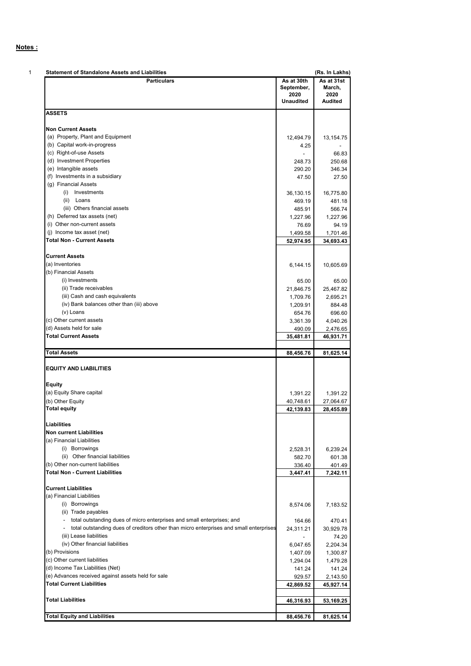| <b>Particulars</b>                                                                     | As at 30th                             | As at 31st                                                                                                                                                                            |
|----------------------------------------------------------------------------------------|----------------------------------------|---------------------------------------------------------------------------------------------------------------------------------------------------------------------------------------|
|                                                                                        | September,<br>2020<br><b>Unaudited</b> | March,<br>2020<br>Audited                                                                                                                                                             |
| ASSETS                                                                                 |                                        |                                                                                                                                                                                       |
| <b>Non Current Assets</b>                                                              |                                        |                                                                                                                                                                                       |
| (a) Property, Plant and Equipment                                                      | 12,494.79                              | 13,154.75                                                                                                                                                                             |
| (b) Capital work-in-progress                                                           | 4.25                                   |                                                                                                                                                                                       |
| (c) Right-of-use Assets                                                                |                                        | 66.83                                                                                                                                                                                 |
| (d) Investment Properties                                                              |                                        | 250.68                                                                                                                                                                                |
| (e) Intangible assets                                                                  | 248.73                                 |                                                                                                                                                                                       |
|                                                                                        | 290.20                                 | 346.34                                                                                                                                                                                |
| (f) Investments in a subsidiary                                                        | 47.50                                  | 27.50                                                                                                                                                                                 |
| (g) Financial Assets                                                                   |                                        |                                                                                                                                                                                       |
| (i) Investments                                                                        | 36,130.15                              | 16,775.80                                                                                                                                                                             |
| (ii) Loans                                                                             | 469.19                                 | 481.18                                                                                                                                                                                |
| (iii) Others financial assets                                                          | 485.91                                 | 566.74                                                                                                                                                                                |
| (h) Deferred tax assets (net)                                                          | 1,227.96                               | 1,227.96                                                                                                                                                                              |
| (i) Other non-current assets                                                           | 76.69                                  | 94.19                                                                                                                                                                                 |
| (i) Income tax asset (net)                                                             | 1,499.58                               | 1,701.46                                                                                                                                                                              |
| <b>Total Non - Current Assets</b>                                                      | 52,974.95                              | 34,693.43                                                                                                                                                                             |
|                                                                                        |                                        |                                                                                                                                                                                       |
| <b>Current Assets</b>                                                                  |                                        |                                                                                                                                                                                       |
| (a) Inventories                                                                        | 6,144.15                               | 10,605.69                                                                                                                                                                             |
| (b) Financial Assets                                                                   |                                        |                                                                                                                                                                                       |
| (i) Investments                                                                        |                                        |                                                                                                                                                                                       |
|                                                                                        | 65.00                                  | 65.00                                                                                                                                                                                 |
| (ii) Trade receivables                                                                 | 21,846.75                              | 25,467.82                                                                                                                                                                             |
| (iii) Cash and cash equivalents                                                        | 1,709.76                               | 2,695.21                                                                                                                                                                              |
| (iv) Bank balances other than (iii) above                                              | 1,209.91                               | 884.48                                                                                                                                                                                |
| (v) Loans                                                                              | 654.76                                 | 696.60                                                                                                                                                                                |
| (c) Other current assets                                                               | 3,361.39                               | 4,040.26                                                                                                                                                                              |
|                                                                                        |                                        |                                                                                                                                                                                       |
| (d) Assets held for sale                                                               | 490.09                                 |                                                                                                                                                                                       |
| <b>Total Current Assets</b>                                                            | 35,481.81                              |                                                                                                                                                                                       |
|                                                                                        |                                        |                                                                                                                                                                                       |
| Total Assets                                                                           | 88,456.76                              | 2,476.65<br>46,931.71<br>81,625.14                                                                                                                                                    |
|                                                                                        |                                        |                                                                                                                                                                                       |
|                                                                                        |                                        |                                                                                                                                                                                       |
|                                                                                        |                                        |                                                                                                                                                                                       |
|                                                                                        | 1,391.22                               |                                                                                                                                                                                       |
| (b) Other Equity                                                                       | 40,748.61                              | 1,391.22<br>27,064.67                                                                                                                                                                 |
| <b>EQUITY AND LIABILITIES</b><br>(a) Equity Share capital<br>Total equity              | 42,139.83                              |                                                                                                                                                                                       |
| Equity                                                                                 |                                        |                                                                                                                                                                                       |
|                                                                                        |                                        |                                                                                                                                                                                       |
| Liabilities<br><b>Non current Liabilities</b>                                          |                                        |                                                                                                                                                                                       |
| (a) Financial Liabilities                                                              |                                        |                                                                                                                                                                                       |
| (i) Borrowings                                                                         | 2,528.31                               |                                                                                                                                                                                       |
| (ii) Other financial liabilities                                                       | 582.70                                 |                                                                                                                                                                                       |
| (b) Other non-current liabilities                                                      | 336.40                                 |                                                                                                                                                                                       |
| <b>Total Non - Current Liabilities</b>                                                 | 3,447.41                               |                                                                                                                                                                                       |
|                                                                                        |                                        |                                                                                                                                                                                       |
| <b>Current Liabilities</b>                                                             |                                        |                                                                                                                                                                                       |
| (a) Financial Liabilities                                                              |                                        |                                                                                                                                                                                       |
| (i) Borrowings                                                                         | 8,574.06                               |                                                                                                                                                                                       |
| (ii) Trade payables                                                                    |                                        |                                                                                                                                                                                       |
| - total outstanding dues of micro enterprises and small enterprises; and               |                                        |                                                                                                                                                                                       |
|                                                                                        | 164.66                                 |                                                                                                                                                                                       |
| total outstanding dues of creditors other than micro enterprises and small enterprises | 24,311.21                              |                                                                                                                                                                                       |
| (iii) Lease liabilities                                                                |                                        |                                                                                                                                                                                       |
| (iv) Other financial liabilities                                                       | 6,047.65                               |                                                                                                                                                                                       |
|                                                                                        | 1,407.09                               |                                                                                                                                                                                       |
| (b) Provisions<br>(c) Other current liabilities                                        | 1,294.04                               |                                                                                                                                                                                       |
| (d) Income Tax Liabilities (Net)                                                       | 141.24                                 |                                                                                                                                                                                       |
| (e) Advances received against assets held for sale                                     | 929.57                                 |                                                                                                                                                                                       |
| <b>Total Current Liabilities</b>                                                       | 42,869.52                              |                                                                                                                                                                                       |
| <b>Total Liabilities</b>                                                               | 46,316.93                              |                                                                                                                                                                                       |
|                                                                                        |                                        | 28,455.89<br>6,239.24<br>601.38<br>401.49<br>7,242.11<br>7,183.52<br>470.41<br>30,929.78<br>74.20<br>2,204.34<br>1,300.87<br>1,479.28<br>141.24<br>2,143.50<br>45,927.14<br>53,169.25 |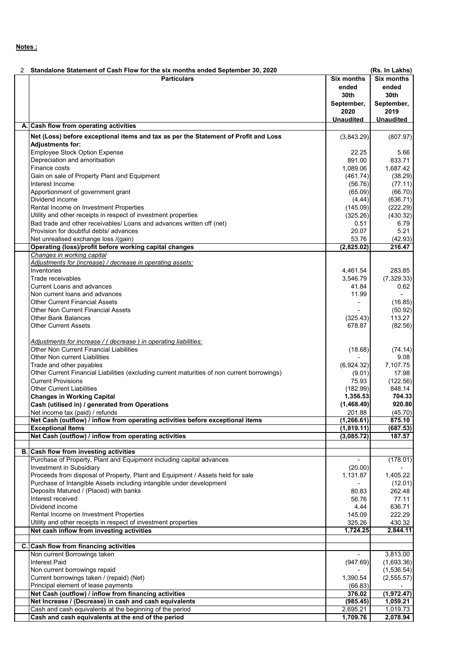| 2 | Standalone Statement of Cash Flow for the six months ended September 30, 2020                                                                          |                            | (Rs. In Lakhs)             |
|---|--------------------------------------------------------------------------------------------------------------------------------------------------------|----------------------------|----------------------------|
|   | <b>Particulars</b>                                                                                                                                     | <b>Six months</b><br>ended | Six months<br>ended        |
|   |                                                                                                                                                        | 30th<br>September,<br>2020 | 30th<br>September,<br>2019 |
|   |                                                                                                                                                        | <b>Unaudited</b>           | <b>Unaudited</b>           |
|   | A. Cash flow from operating activities                                                                                                                 |                            |                            |
|   | Net (Loss) before exceptional items and tax as per the Statement of Profit and Loss<br><b>Adjustments for:</b>                                         | (3,843.29)                 | (807.97)                   |
|   | <b>Employee Stock Option Expense</b>                                                                                                                   | 22.25                      | 5.66                       |
|   | Depreciation and amoritsation<br>Finance costs                                                                                                         | 891.00<br>1,089.06         | 833.71<br>1,687.42         |
|   | Gain on sale of Property Plant and Equipment                                                                                                           | (461.74)                   | (38.29)                    |
|   | Interest Income                                                                                                                                        | (56.76)                    | (77.11)                    |
|   | Apportionment of government grant                                                                                                                      | (65.09)                    | (66.70)                    |
|   | Dividend income                                                                                                                                        | (4.44)                     | (636.71)                   |
|   | Rental Income on Investment Properties                                                                                                                 | (145.09)                   | (222.29)                   |
|   | Utility and other receipts in respect of investment properties                                                                                         | (325.26)                   | (430.32)                   |
|   | Bad trade and other receivables/ Loans and advances written off (net)                                                                                  | 0.51                       | 6.79                       |
|   | Provision for doubtful debts/advances                                                                                                                  | 20.07<br>53.76             | 5.21                       |
|   | Net unrealised exchange loss /(gain)<br>Operating (loss)/profit before working capital changes                                                         | (2,825.02)                 | (42.93)<br>216.47          |
|   | Changes in working capital                                                                                                                             |                            |                            |
|   | Adjustments for (increase) / decrease in operating assets:                                                                                             |                            |                            |
|   | Inventories                                                                                                                                            | 4,461.54                   | 283.85                     |
|   | Trade receivables                                                                                                                                      | 3,546.79                   | (7,329.33)                 |
|   | Current Loans and advances                                                                                                                             | 41.84                      | 0.62                       |
|   | Non current loans and advances                                                                                                                         | 11.99                      | $\blacksquare$             |
|   | Other Current Financial Assets                                                                                                                         | $\overline{a}$             | (16.85)                    |
|   | Other Non Current Financial Assets<br>Other Bank Balances                                                                                              | (325.43)                   | (50.92)<br>113.27          |
|   | Other Current Assets                                                                                                                                   | 678.87                     | (82.56)                    |
|   |                                                                                                                                                        |                            |                            |
|   | Adjustments for increase / (decrease) in operating liabilities:                                                                                        |                            |                            |
|   | Other Non Current Financial Liabilities                                                                                                                | (18.68)                    | (74.14)                    |
|   | Other Non current Liabilities<br>Trade and other payables                                                                                              | (6,924.32)                 | 9.08<br>7,107.75           |
|   | Other Current Financial Liabilities (excluding current maturities of non current borrowings)                                                           | (9.01)                     | 17.98                      |
|   | <b>Current Provisions</b>                                                                                                                              | 75.93                      | (122.56)                   |
|   | <b>Other Current Liabilities</b>                                                                                                                       | (182.99)                   | 848.14                     |
|   | <b>Changes in Working Capital</b>                                                                                                                      | 1,356.53                   | 704.33                     |
|   | Cash (utilised in) / generated from Operations                                                                                                         | (1,468.49)                 | 920.80                     |
|   | Net income tax (paid) / refunds                                                                                                                        | 201.88                     | (45.70)                    |
|   | Net Cash (outflow) / inflow from operating activities before exceptional items                                                                         | (1, 266.61)                | 875.10                     |
|   | <b>Exceptional Items</b><br>Net Cash (outflow) / inflow from operating activities                                                                      | (1,819.11)<br>(3,085.72)   | (687.53)<br>187.57         |
|   |                                                                                                                                                        |                            |                            |
|   | <b>B.</b> Cash flow from investing activities                                                                                                          |                            |                            |
|   | Purchase of Property, Plant and Equipment including capital advances                                                                                   |                            | (178.01)                   |
|   | Investment in Subsidiary                                                                                                                               | (20.00)                    |                            |
|   | Proceeds from disposal of Property, Plant and Equipment / Assets held for sale<br>Purchase of Intangible Assets including intangible under development | 1,131.87                   | 1,405.22<br>(12.01)        |
|   | Deposits Matured / (Placed) with banks                                                                                                                 | 80.83                      | 262.48                     |
|   | Interest received                                                                                                                                      | 56.76                      | 77.11                      |
|   | Dividend income                                                                                                                                        | 4.44                       | 636.71                     |
|   | Rental Income on Investment Properties                                                                                                                 | 145.09                     | 222.29                     |
|   | Utility and other receipts in respect of investment properties                                                                                         | 325.26                     | 430.32                     |
|   | Net cash inflow from investing activities                                                                                                              | 1,724.25                   | 2,844.11                   |
|   | C. Cash flow from financing activities                                                                                                                 |                            |                            |
|   | Non current Borrowings taken                                                                                                                           |                            | 3,813.00                   |
|   | Interest Paid                                                                                                                                          | (947.69)                   | (1,693.36)                 |
|   | Non current borrowings repaid                                                                                                                          |                            | (1,536.54)                 |
|   | Current borrowings taken / (repaid) (Net)                                                                                                              | 1,390.54                   | (2, 555.57)                |
|   | Principal element of lease payments                                                                                                                    | (66.83)                    |                            |
|   | Net Cash (outflow) / inflow from financing activities                                                                                                  | 376.02                     | (1,972.47)                 |
|   | Net Increase / (Decrease) in cash and cash equivalents                                                                                                 | (985.45)                   | 1,059.21                   |
|   | Cash and cash equivalents at the beginning of the period<br>Cash and cash equivalents at the end of the period                                         | 2,695.21<br>1,709.76       | 1,019.73<br>2,078.94       |
|   |                                                                                                                                                        |                            |                            |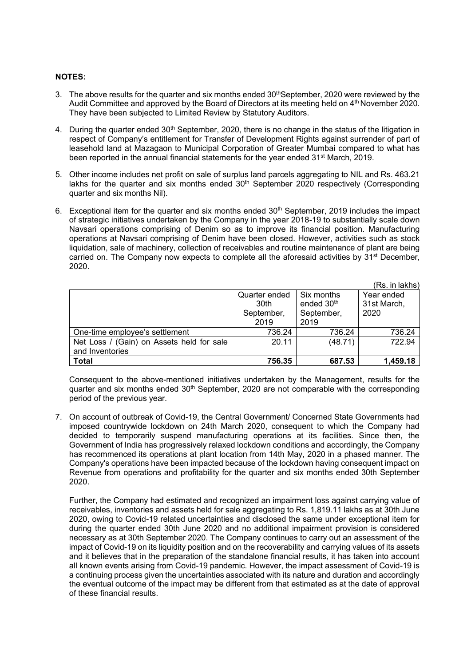## **NOTES:**

- 3. The above results for the quarter and six months ended 30<sup>th</sup>September, 2020 were reviewed by the Audit Committee and approved by the Board of Directors at its meeting held on 4<sup>th</sup> November 2020. They have been subjected to Limited Review by Statutory Auditors.
- 4. During the quarter ended 30<sup>th</sup> September, 2020, there is no change in the status of the litigation in respect of Company's entitlement for Transfer of Development Rights against surrender of part of leasehold land at Mazagaon to Municipal Corporation of Greater Mumbai compared to what has been reported in the annual financial statements for the year ended 31<sup>st</sup> March, 2019.
- 5. Other income includes net profit on sale of surplus land parcels aggregating to NIL and Rs. 463.21 lakhs for the quarter and six months ended  $30<sup>th</sup>$  September 2020 respectively (Corresponding quarter and six months Nil).
- 6. Exceptional item for the quarter and six months ended 30<sup>th</sup> September, 2019 includes the impact of strategic initiatives undertaken by the Company in the year 2018-19 to substantially scale down Navsari operations comprising of Denim so as to improve its financial position. Manufacturing operations at Navsari comprising of Denim have been closed. However, activities such as stock liquidation, sale of machinery, collection of receivables and routine maintenance of plant are being carried on. The Company now expects to complete all the aforesaid activities by 31<sup>st</sup> December, 2020.

|                                           |                          |                        | (Rs. in lakhs) |
|-------------------------------------------|--------------------------|------------------------|----------------|
|                                           | Quarter ended            | Six months             | Year ended     |
|                                           | 30th                     | ended 30 <sup>th</sup> | 31st March,    |
|                                           | September,<br>September, |                        | 2020           |
|                                           | 2019                     | 2019                   |                |
| One-time employee's settlement            | 736.24                   | 736.24                 | 736.24         |
| Net Loss / (Gain) on Assets held for sale | 20.11                    | (48.71)                | 722.94         |
| and Inventories                           |                          |                        |                |
| <b>Total</b>                              | 756.35                   | 687.53                 | 1,459.18       |

Consequent to the above-mentioned initiatives undertaken by the Management, results for the quarter and six months ended  $30<sup>th</sup>$  September, 2020 are not comparable with the corresponding period of the previous year.

7. On account of outbreak of Covid-19, the Central Government/ Concerned State Governments had imposed countrywide lockdown on 24th March 2020, consequent to which the Company had decided to temporarily suspend manufacturing operations at its facilities. Since then, the Government of India has progressively relaxed lockdown conditions and accordingly, the Company has recommenced its operations at plant location from 14th May, 2020 in a phased manner. The Company's operations have been impacted because of the lockdown having consequent impact on Revenue from operations and profitability for the quarter and six months ended 30th September 2020.

Further, the Company had estimated and recognized an impairment loss against carrying value of receivables, inventories and assets held for sale aggregating to Rs. 1,819.11 lakhs as at 30th June 2020, owing to Covid-19 related uncertainties and disclosed the same under exceptional item for during the quarter ended 30th June 2020 and no additional impairment provision is considered necessary as at 30th September 2020. The Company continues to carry out an assessment of the impact of Covid-19 on its liquidity position and on the recoverability and carrying values of its assets and it believes that in the preparation of the standalone financial results, it has taken into account all known events arising from Covid-19 pandemic. However, the impact assessment of Covid-19 is a continuing process given the uncertainties associated with its nature and duration and accordingly the eventual outcome of the impact may be different from that estimated as at the date of approval of these financial results.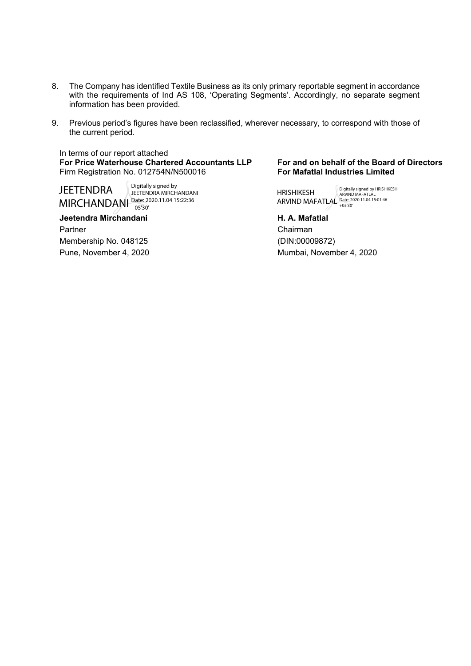- 8. The Company has identified Textile Business as its only primary reportable segment in accordance with the requirements of Ind AS 108, 'Operating Segments'. Accordingly, no separate segment information has been provided.
- 9. Previous period's figures have been reclassified, wherever necessary, to correspond with those of the current period.

In terms of our report attached **For Price Waterhouse Chartered Accountants LLP** Firm Registration No. 012754N/N500016

> Digitally signed by JEETENDRA MIRCHANDANI

+05'30'

**JEETENDRA** MIRCHANDANI Pate: 2020.11.04 15:22:36

**Jeetendra Mirchandani H. A. Mafatlal** Partner Chairman Membership No. 048125 (DIN:00009872)

#### **For and on behalf of the Board of Directors For Mafatlal Industries Limited**

HRISHIKESH ARVIND MAFATLAL Digitally signed by HRISHIKESH ARVIND MAFATLAL Date: 2020.11.04 15:01:46 +05'30'

Pune, November 4, 2020 **Mumbai, November 4, 2020**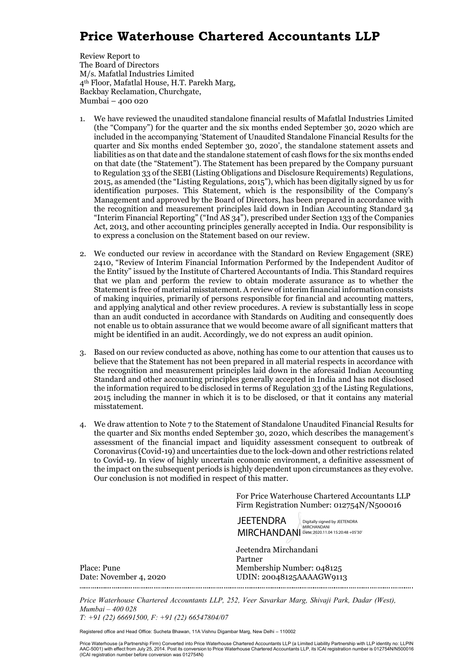## **Price Waterhouse Chartered Accountants LLP**

Review Report to The Board of Directors M/s. Mafatlal Industries Limited 4th Floor, Mafatlal House, H.T. Parekh Marg, Backbay Reclamation, Churchgate, Mumbai – 400 020

- 1. We have reviewed the unaudited standalone financial results of Mafatlal Industries Limited (the "Company") for the quarter and the six months ended September 30, 2020 which are included in the accompanying 'Statement of Unaudited Standalone Financial Results for the quarter and Six months ended September 30, 2020', the standalone statement assets and liabilities as on that date and the standalone statement of cash flows for the six months ended on that date (the "Statement"). The Statement has been prepared by the Company pursuant to Regulation 33 of the SEBI (Listing Obligations and Disclosure Requirements) Regulations, 2015, as amended (the "Listing Regulations, 2015"), which has been digitally signed by us for identification purposes. This Statement, which is the responsibility of the Company's Management and approved by the Board of Directors, has been prepared in accordance with the recognition and measurement principles laid down in Indian Accounting Standard 34 "Interim Financial Reporting" ("Ind AS 34"), prescribed under Section 133 of the Companies Act, 2013, and other accounting principles generally accepted in India. Our responsibility is to express a conclusion on the Statement based on our review.
- 2. We conducted our review in accordance with the Standard on Review Engagement (SRE) 2410, "Review of Interim Financial Information Performed by the Independent Auditor of the Entity" issued by the Institute of Chartered Accountants of India. This Standard requires that we plan and perform the review to obtain moderate assurance as to whether the Statement is free of material misstatement. A review of interim financial information consists of making inquiries, primarily of persons responsible for financial and accounting matters, and applying analytical and other review procedures. A review is substantially less in scope than an audit conducted in accordance with Standards on Auditing and consequently does not enable us to obtain assurance that we would become aware of all significant matters that might be identified in an audit. Accordingly, we do not express an audit opinion.
- 3. Based on our review conducted as above, nothing has come to our attention that causes us to believe that the Statement has not been prepared in all material respects in accordance with the recognition and measurement principles laid down in the aforesaid Indian Accounting Standard and other accounting principles generally accepted in India and has not disclosed the information required to be disclosed in terms of Regulation 33 of the Listing Regulations, 2015 including the manner in which it is to be disclosed, or that it contains any material misstatement.
- 4. We draw attention to Note 7 to the Statement of Standalone Unaudited Financial Results for the quarter and Six months ended September 30, 2020, which describes the management's assessment of the financial impact and liquidity assessment consequent to outbreak of Coronavirus (Covid-19) and uncertainties due to the lock-down and other restrictions related to Covid-19. In view of highly uncertain economic environment, a definitive assessment of the impact on the subsequent periods is highly dependent upon circumstances as they evolve. Our conclusion is not modified in respect of this matter.

For Price Waterhouse Chartered Accountants LLP Firm Registration Number: 012754N/N500016

JEETENDRA MIRCHANDANI Date: 2020.11.04 15:20:48 +05'30 Digitally signed by JEETENDRA MIRCHANDANI

Jeetendra Mirchandani Partner Place: Pune Membership Number: 048125 Date: November 4, 2020 UDIN: 20048125AAAAGW9113

*Price Waterhouse Chartered Accountants LLP, 252, Veer Savarkar Marg, Shivaji Park, Dadar (West), Mumbai – 400 028 T: +91 (22) 66691500, F: +91 (22) 66547804/07* 

Registered office and Head Office: Sucheta Bhawan, 11A Vishnu Digambar Marg, New Delhi – 110002

Price Waterhouse (a Partnership Firm) Converted into Price Waterhouse Chartered Accountants LLP (a Limited Liability Partnership with LLP identity no: LLPIN<br>AAC-5001) with effect from July 25, 2014. Post its conversion to (ICAI registration number before conversion was 012754N)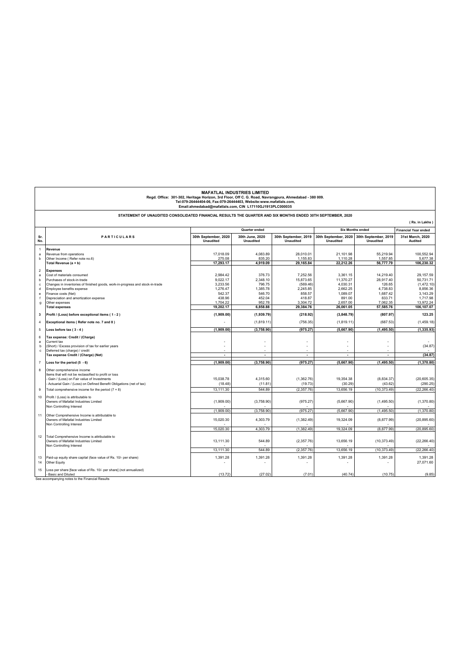|                                                                        | <b>MAFATLAL INDUSTRIES LIMITED</b><br>Regd. Office: 301-302, Heritage Horizon, 3rd Floor, Off C. G. Road, Navrangpura, Ahmedabad - 380 009.<br>Tel:079-26444404-06, Fax:079-26444403, Website:www.mafatlals.com,<br>Email:ahmedabad@mafatlals.com, CIN L17110GJ1913PLC000035                          |                                                                                           |                                                                                    |                                                                                            |                                                                                              |                                                                                             |                                                                                                     |  |
|------------------------------------------------------------------------|-------------------------------------------------------------------------------------------------------------------------------------------------------------------------------------------------------------------------------------------------------------------------------------------------------|-------------------------------------------------------------------------------------------|------------------------------------------------------------------------------------|--------------------------------------------------------------------------------------------|----------------------------------------------------------------------------------------------|---------------------------------------------------------------------------------------------|-----------------------------------------------------------------------------------------------------|--|
|                                                                        | STATEMENT OF UNAUDITED CONSOLIDATED FINANCIAL RESULTS THE QUARTER AND SIX MONTHS ENDED 30TH SEPTEMBER, 2020<br>(Rs. in Lakhs)                                                                                                                                                                         |                                                                                           |                                                                                    |                                                                                            |                                                                                              |                                                                                             |                                                                                                     |  |
|                                                                        |                                                                                                                                                                                                                                                                                                       |                                                                                           | Quarter ended                                                                      |                                                                                            |                                                                                              | <b>Six Months ended</b>                                                                     | <b>Financial Year ended</b>                                                                         |  |
| Sr.<br>No.                                                             | <b>PARTICULARS</b>                                                                                                                                                                                                                                                                                    | 30th September, 2020<br>Unaudited                                                         | 30th June, 2020<br><b>Unaudited</b>                                                | 30th September, 2019<br>Unaudited                                                          | Unaudited                                                                                    | 30th September, 2020 30th September, 2019<br>Unaudited                                      | 31st March, 2020<br>Audited                                                                         |  |
| $\mathbf{1}$<br>a<br>b                                                 | Revenue<br>Revenue from operations<br>Other Income (Refer note no.6)<br>Total Revenue (a + b)                                                                                                                                                                                                         | 17.018.09<br>275.08<br>17,293.17                                                          | 4.083.89<br>835.20<br>4,919.09                                                     | 28.010.01<br>1.155.83<br>29,165.84                                                         | 21.101.98<br>1.110.28<br>22,212.26                                                           | 55.219.94<br>1.557.85<br>56,777.79                                                          | 100.552.94<br>5.677.38<br>106,230.32                                                                |  |
| $\overline{2}$<br>a<br>h<br>$\mathbf c$<br>d<br>e<br>$\mathsf{f}$<br>g | <b>Expenses</b><br>Cost of materials consumed<br>Purchases of stock-in-trade<br>Changes in inventories of finished goods, work-in-progress and stock-in-trade<br>Employee benefits expense<br>Finance costs (Net)<br>Depreciation and amortization expense<br>Other expenses<br><b>Total expenses</b> | 2.984.42<br>9,022.17<br>3,233.56<br>1,276.47<br>542.37<br>438.96<br>1,704.22<br>19.202.17 | 376.73<br>2,348.10<br>796.75<br>1.385.78<br>546.70<br>452.04<br>952.78<br>6.858.88 | 7.252.56<br>15,873.65<br>(569.46)<br>2,245.85<br>858.57<br>418.87<br>3,304.72<br>29,384.76 | 3.361.15<br>11,370.27<br>4,030.31<br>2,662.25<br>1,089.07<br>891.00<br>2,657.00<br>26,061.05 | 14.219.40<br>28,917.40<br>126.65<br>4,738.83<br>1,687.42<br>833.71<br>7,062.35<br>57,585.76 | 29.157.59<br>50,731.71<br>(1,472.10)<br>8,856.36<br>3,143.29<br>1,717.98<br>13,972.24<br>106,107.07 |  |
| 3                                                                      | Profit / (Loss) before exceptional items (1-2)                                                                                                                                                                                                                                                        | (1,909.00)                                                                                | (1,939.79)                                                                         | (218.92)                                                                                   | (3,848.79)                                                                                   | (807.97)                                                                                    | 123.25                                                                                              |  |
| $\overline{4}$                                                         | Exceptional items (Refer note no. 7 and 8)                                                                                                                                                                                                                                                            |                                                                                           | (1,819.11)                                                                         | (756.35)                                                                                   | (1,819.11)                                                                                   | (687.53)                                                                                    | (1,459.18)                                                                                          |  |
| 5                                                                      | Loss before tax $(3 - 4)$                                                                                                                                                                                                                                                                             | (1.909.00)                                                                                | (3,758.90)                                                                         | (975.27)                                                                                   | (5.667.90)                                                                                   | (1.495.50)                                                                                  | (1, 335.93)                                                                                         |  |
| 6<br>a<br>b<br>$\mathbf{c}$                                            | Tax expense: Credit / (Charge)<br>Current tax<br>(Short) / Excess provision of tax for earlier years<br>Deferred tax (charge) / credit<br>Tax expense Credit / (Charge) (Net)                                                                                                                         | $\sim$                                                                                    | ٠<br>÷.                                                                            | $\sim$                                                                                     | ÷.                                                                                           | $\sim$                                                                                      | (34.87)<br>(34.87)                                                                                  |  |
| $\overline{7}$                                                         | Loss for the period $(5 - 6)$                                                                                                                                                                                                                                                                         | (1,909.00)                                                                                | (3,758.90)                                                                         | (975.27)                                                                                   | (5,667.90)                                                                                   | (1, 495.50)                                                                                 | (1,370.80)                                                                                          |  |
| 8<br>9                                                                 | Other comprehensive income<br>Items that will not be reclassified to profit or loss<br>Gain / (Loss) on Fair value of Investments<br>Actuarial Gain / (Loss) on Defined Benefit Obligations (net of tax)<br>Total comprehensive income for the period (7 + 8)                                         | 15,038.78<br>(18.48)<br>13,111.30                                                         | 4,315.60<br>(11.81)<br>544.89                                                      | (1,362.76)<br>(19.73)<br>(2,357.76)                                                        | 19,354.38<br>(30.29)<br>13,656.19                                                            | (8,834.37)<br>(43.62)<br>(10, 373.49)                                                       | (20, 605.35)<br>(290.25)<br>(22, 266.40)                                                            |  |
| 10                                                                     | Profit / (Loss) is attributable to<br>Owners of Mafatlal Industries Limited                                                                                                                                                                                                                           | (1,909.00)                                                                                | (3,758.90)                                                                         | (975.27)                                                                                   | (5,667.90)                                                                                   | (1,495.50)                                                                                  | (1,370.80)                                                                                          |  |
|                                                                        | Non Controlling Interest                                                                                                                                                                                                                                                                              |                                                                                           |                                                                                    |                                                                                            |                                                                                              |                                                                                             |                                                                                                     |  |
| 11                                                                     | Other Comprehensive Income is attributable to<br>Owners of Mafatlal Industries Limited                                                                                                                                                                                                                | (1,909.00)<br>15,020.30                                                                   | (3,758.90)<br>4,303.79                                                             | (975.27)<br>(1,382.49)                                                                     | (5,667.90)<br>19,324.09                                                                      | (1,495.50)<br>(8,877.99)                                                                    | (1,370.80)<br>(20, 895.60)                                                                          |  |
|                                                                        | Non Controlling Interest                                                                                                                                                                                                                                                                              | 15,020.30                                                                                 | 4.303.79                                                                           | (1,382.49)                                                                                 | 19,324.09                                                                                    | (8, 877.99)                                                                                 | (20, 895.60)                                                                                        |  |
| 12                                                                     | Total Comprehensive Income is attributable to<br>Owners of Mafatlal Industries Limited<br>Non Controlling Interest                                                                                                                                                                                    | 13,111.30                                                                                 | 544.89                                                                             | (2,357.76)                                                                                 | 13,656.19                                                                                    | (10, 373.49)                                                                                | (22, 266.40)                                                                                        |  |
|                                                                        |                                                                                                                                                                                                                                                                                                       | 13,111.30                                                                                 | 544.89                                                                             | (2,357.76)                                                                                 | 13,656.19                                                                                    | (10, 373.49)                                                                                | (22, 266.40)                                                                                        |  |
| 13<br>14                                                               | Paid-up equity share capital (face value of Rs. 10/- per share)<br>Other Equity                                                                                                                                                                                                                       | 1,391.28                                                                                  | 1.391.28                                                                           | 1.391.28                                                                                   | 1.391.28                                                                                     | 1.391.28                                                                                    | 1.391.28<br>27,071.60                                                                               |  |
| 15                                                                     | Loss per share [face value of Rs. 10/- per share] (not annualized)<br><b>Basic and Diluted</b>                                                                                                                                                                                                        | (13.72)                                                                                   | (27.02)                                                                            | (7.01)                                                                                     | (40.74)                                                                                      | (10.75)                                                                                     | (9.85)                                                                                              |  |

See accompanying notes to the Financial Results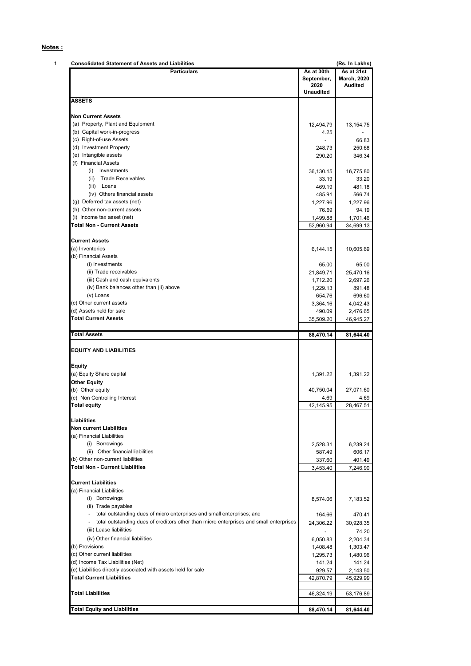|                                                                                                                                                                                          |                                  | (Rs. In Lakhs)                                                       |
|------------------------------------------------------------------------------------------------------------------------------------------------------------------------------------------|----------------------------------|----------------------------------------------------------------------|
| <b>Particulars</b>                                                                                                                                                                       | As at 30th<br>September,<br>2020 | As at 31st<br><b>March, 2020</b><br>Audited                          |
|                                                                                                                                                                                          | <b>Unaudited</b>                 |                                                                      |
| ASSETS                                                                                                                                                                                   |                                  |                                                                      |
| <b>Non Current Assets</b>                                                                                                                                                                |                                  |                                                                      |
| (a) Property, Plant and Equipment                                                                                                                                                        | 12,494.79                        |                                                                      |
|                                                                                                                                                                                          |                                  | 13,154.75                                                            |
| (b) Capital work-in-progress                                                                                                                                                             | 4.25                             |                                                                      |
| (c) Right-of-use Assets                                                                                                                                                                  |                                  | 66.83                                                                |
| (d) Investment Property                                                                                                                                                                  | 248.73                           | 250.68                                                               |
| (e) Intangible assets                                                                                                                                                                    | 290.20                           | 346.34                                                               |
| (f) Financial Assets                                                                                                                                                                     |                                  |                                                                      |
| (i) Investments                                                                                                                                                                          | 36,130.15                        | 16,775.80                                                            |
| (ii) Trade Receivables                                                                                                                                                                   | 33.19                            | 33.20                                                                |
| (iii) Loans                                                                                                                                                                              | 469.19                           | 481.18                                                               |
| (iv) Others financial assets                                                                                                                                                             | 485.91                           | 566.74                                                               |
| (g) Deferred tax assets (net)                                                                                                                                                            | 1,227.96                         | 1,227.96                                                             |
| (h) Other non-current assets                                                                                                                                                             | 76.69                            | 94.19                                                                |
| (i) Income tax asset (net)                                                                                                                                                               | 1,499.88                         | 1,701.46                                                             |
| <b>Total Non - Current Assets</b>                                                                                                                                                        |                                  |                                                                      |
|                                                                                                                                                                                          | 52,960.94                        | 34,699.13                                                            |
|                                                                                                                                                                                          |                                  |                                                                      |
| <b>Current Assets</b>                                                                                                                                                                    |                                  |                                                                      |
| (a) Inventories                                                                                                                                                                          | 6,144.15                         | 10,605.69                                                            |
| (b) Financial Assets                                                                                                                                                                     |                                  |                                                                      |
| (i) Investments                                                                                                                                                                          | 65.00                            | 65.00                                                                |
| (ii) Trade receivables                                                                                                                                                                   | 21,849.71                        | 25,470.16                                                            |
| (iii) Cash and cash equivalents                                                                                                                                                          | 1,712.20                         | 2,697.26                                                             |
| (iv) Bank balances other than (ii) above                                                                                                                                                 | 1,229.13                         | 891.48                                                               |
| (v) Loans                                                                                                                                                                                | 654.76                           | 696.60                                                               |
| (c) Other current assets                                                                                                                                                                 | 3,364.16                         | 4,042.43                                                             |
| (d) Assets held for sale                                                                                                                                                                 | 490.09                           | 2,476.65                                                             |
| <b>Total Current Assets</b>                                                                                                                                                              |                                  |                                                                      |
|                                                                                                                                                                                          | 35,509.20                        | 46,945.27                                                            |
| <b>Total Assets</b>                                                                                                                                                                      | 88,470.14                        | 81,644.40                                                            |
| Equity                                                                                                                                                                                   |                                  |                                                                      |
| (a) Equity Share capital                                                                                                                                                                 | 1,391.22                         | 1,391.22                                                             |
| <b>Other Equity</b>                                                                                                                                                                      |                                  |                                                                      |
| (b) Other equity                                                                                                                                                                         | 40,750.04                        | 27,071.60                                                            |
| (c) Non Controlling Interest                                                                                                                                                             | 4.69                             | 4.69                                                                 |
| <b>Total equity</b>                                                                                                                                                                      | 42,145.95                        | 28,467.51                                                            |
|                                                                                                                                                                                          |                                  |                                                                      |
|                                                                                                                                                                                          |                                  |                                                                      |
| Liabilities                                                                                                                                                                              |                                  |                                                                      |
| <b>Non current Liabilities</b>                                                                                                                                                           |                                  |                                                                      |
| (a) Financial Liabilities                                                                                                                                                                |                                  |                                                                      |
| (i) Borrowings                                                                                                                                                                           | 2,528.31                         | 6,239.24                                                             |
| (ii) Other financial liabilities                                                                                                                                                         | 587.49                           | 606.17                                                               |
| (b) Other non-current liabilities                                                                                                                                                        | 337.60                           | 401.49                                                               |
| <b>Total Non - Current Liabilities</b>                                                                                                                                                   | 3,453.40                         | 7,246.90                                                             |
|                                                                                                                                                                                          |                                  |                                                                      |
| <b>Current Liabilities</b>                                                                                                                                                               |                                  |                                                                      |
| (a) Financial Liabilities                                                                                                                                                                |                                  |                                                                      |
| (i) Borrowings                                                                                                                                                                           | 8,574.06                         | 7,183.52                                                             |
| (ii) Trade payables                                                                                                                                                                      |                                  |                                                                      |
| total outstanding dues of micro enterprises and small enterprises; and                                                                                                                   |                                  | 470.41                                                               |
| total outstanding dues of creditors other than micro enterprises and small enterprises                                                                                                   | 164.66                           |                                                                      |
| (iii) Lease liabilities                                                                                                                                                                  | 24,306.22                        | 30,928.35                                                            |
|                                                                                                                                                                                          | $\overline{\phantom{0}}$         | 74.20                                                                |
|                                                                                                                                                                                          | 6,050.83                         | 2,204.34                                                             |
| (iv) Other financial liabilities                                                                                                                                                         |                                  |                                                                      |
|                                                                                                                                                                                          | 1,408.48                         |                                                                      |
|                                                                                                                                                                                          | 1,295.73                         |                                                                      |
|                                                                                                                                                                                          |                                  |                                                                      |
|                                                                                                                                                                                          | 141.24                           |                                                                      |
|                                                                                                                                                                                          | 929.57                           |                                                                      |
| (b) Provisions<br>(c) Other current liabilities<br>(d) Income Tax Liabilities (Net)<br>(e) Liabilities directly associated with assets held for sale<br><b>Total Current Liabilities</b> | 42,870.79                        |                                                                      |
|                                                                                                                                                                                          |                                  |                                                                      |
| <b>Total Liabilities</b>                                                                                                                                                                 | 46,324.19                        | 1,303.47<br>1,480.96<br>141.24<br>2,143.50<br>45,929.99<br>53,176.89 |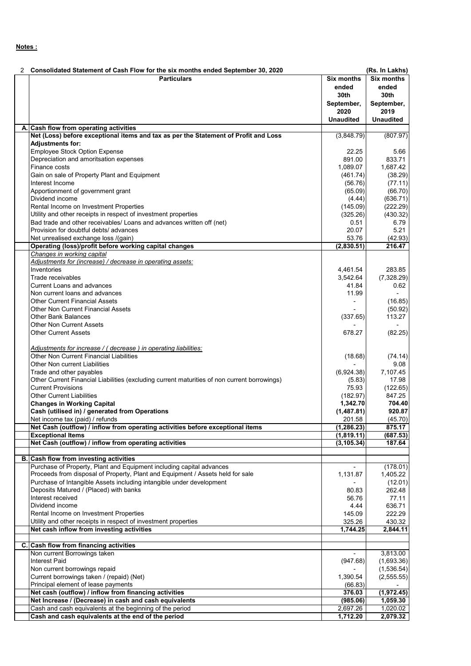| 2 | Consolidated Statement of Cash Flow for the six months ended September 30, 2020                                 |                        | (Rs. In Lakhs)           |
|---|-----------------------------------------------------------------------------------------------------------------|------------------------|--------------------------|
|   | <b>Particulars</b>                                                                                              | <b>Six months</b>      | Six months               |
|   |                                                                                                                 | ended                  | ended                    |
|   |                                                                                                                 | 30th                   | 30th                     |
|   |                                                                                                                 | September,             | September,               |
|   |                                                                                                                 | 2020                   | 2019                     |
|   |                                                                                                                 | <b>Unaudited</b>       | <b>Unaudited</b>         |
|   | A. Cash flow from operating activities                                                                          |                        |                          |
|   | Net (Loss) before exceptional items and tax as per the Statement of Profit and Loss                             | (3,848.79)             | (807.97)                 |
|   | <b>Adjustments for:</b>                                                                                         |                        |                          |
|   | <b>Employee Stock Option Expense</b>                                                                            | 22.25                  | 5.66                     |
|   | Depreciation and amoritsation expenses                                                                          | 891.00                 | 833.71                   |
|   | Finance costs                                                                                                   | 1,089.07               | 1,687.42                 |
|   | Gain on sale of Property Plant and Equipment<br>Interest Income                                                 | (461.74)               | (38.29)                  |
|   | Apportionment of government grant                                                                               | (56.76)<br>(65.09)     | (77.11)<br>(66.70)       |
|   | Dividend income                                                                                                 | (4.44)                 | (636.71)                 |
|   | Rental Income on Investment Properties                                                                          | (145.09)               | (222.29)                 |
|   | Utility and other receipts in respect of investment properties                                                  | (325.26)               | (430.32)                 |
|   | Bad trade and other receivables/ Loans and advances written off (net)                                           | 0.51                   | 6.79                     |
|   | Provision for doubtful debts/advances                                                                           | 20.07                  | 5.21                     |
|   | Net unrealised exchange loss /(gain)                                                                            | 53.76                  | (42.93)                  |
|   | Operating (loss)/profit before working capital changes                                                          | (2,830.51)             | 216.47                   |
|   | Changes in working capital                                                                                      |                        |                          |
|   | Adjustments for (increase) / decrease in operating assets:                                                      |                        |                          |
|   | Inventories                                                                                                     | 4,461.54               | 283.85                   |
|   | Trade receivables                                                                                               | 3,542.64               | (7,328.29)               |
|   | Current Loans and advances                                                                                      | 41.84                  | 0.62                     |
|   | Non current loans and advances                                                                                  | 11.99                  |                          |
|   | Other Current Financial Assets                                                                                  |                        | (16.85)                  |
|   | Other Non Current Financial Assets                                                                              |                        | (50.92)                  |
|   | Other Bank Balances                                                                                             | (337.65)               | 113.27                   |
|   | Other Non Current Assets                                                                                        |                        | $\overline{\phantom{0}}$ |
|   | Other Current Assets                                                                                            | 678.27                 | (82.25)                  |
|   |                                                                                                                 |                        |                          |
|   | Adjustments for increase / (decrease) in operating liabilities:                                                 |                        |                          |
|   | Other Non Current Financial Liabilities                                                                         | (18.68)                | (74.14)                  |
|   | Other Non current Liabilities                                                                                   |                        | 9.08                     |
|   | Trade and other payables                                                                                        | (6,924.38)             | 7,107.45                 |
|   | Other Current Financial Liabilities (excluding current maturities of non current borrowings)                    | (5.83)                 | 17.98                    |
|   | <b>Current Provisions</b>                                                                                       | 75.93                  | (122.65)                 |
|   | <b>Other Current Liabilities</b>                                                                                | (182.97)               | 847.25                   |
|   | <b>Changes in Working Capital</b>                                                                               | 1,342.70<br>(1,487.81) | 704.40<br>920.87         |
|   | Cash (utilised in) / generated from Operations<br>Net income tax (paid) / refunds                               |                        |                          |
|   | Net Cash (outflow) / inflow from operating activities before exceptional items                                  | 201.58<br>(1, 286.23)  | (45.70)<br>875.17        |
|   | <b>Exceptional Items</b>                                                                                        | (1,819.11)             | (687.53)                 |
|   | Net Cash (outflow) / inflow from operating activities                                                           | (3, 105.34)            | 187.64                   |
|   |                                                                                                                 |                        |                          |
|   | B. Cash flow from investing activities                                                                          |                        |                          |
|   | Purchase of Property, Plant and Equipment including capital advances                                            |                        | (178.01)                 |
|   | Proceeds from disposal of Property, Plant and Equipment / Assets held for sale                                  | 1,131.87               | 1,405.22                 |
|   | Purchase of Intangible Assets including intangible under development                                            |                        | (12.01)                  |
|   | Deposits Matured / (Placed) with banks                                                                          | 80.83                  | 262.48                   |
|   | Interest received                                                                                               | 56.76                  | 77.11                    |
|   | Dividend income                                                                                                 | 4.44                   | 636.71                   |
|   | Rental Income on Investment Properties                                                                          | 145.09                 | 222.29                   |
|   | Utility and other receipts in respect of investment properties                                                  | 325.26                 | 430.32                   |
|   | Net cash inflow from investing activities                                                                       | 1,744.25               | 2,844.11                 |
|   |                                                                                                                 |                        |                          |
|   | C. Cash flow from financing activities                                                                          |                        |                          |
|   | Non current Borrowings taken                                                                                    |                        | 3,813.00                 |
|   | <b>Interest Paid</b>                                                                                            | (947.68)               | (1,693.36)               |
|   | Non current borrowings repaid                                                                                   |                        | (1,536.54)               |
|   | Current borrowings taken / (repaid) (Net)                                                                       | 1,390.54               | (2, 555.55)              |
|   | Principal element of lease payments                                                                             | (66.83)                |                          |
|   | Net cash (outflow) / inflow from financing activities<br>Net Increase / (Decrease) in cash and cash equivalents | 376.03<br>(985.06)     | (1,972.45)<br>1,059.30   |
|   | Cash and cash equivalents at the beginning of the period                                                        | 2,697.26               | 1,020.02                 |
|   | Cash and cash equivalents at the end of the period                                                              | 1,712.20               | 2,079.32                 |
|   |                                                                                                                 |                        |                          |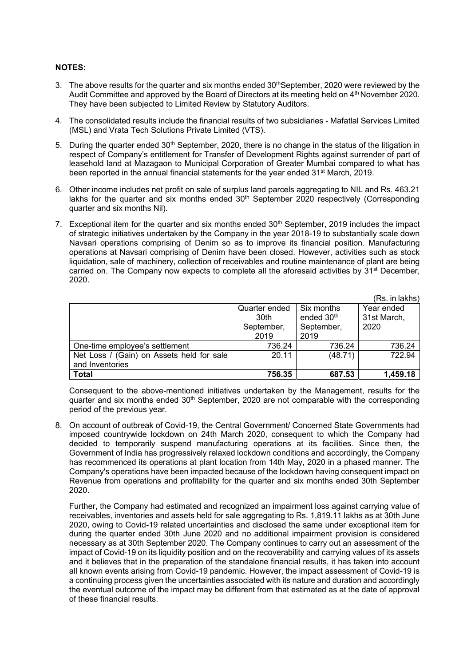## **NOTES:**

- 3. The above results for the quarter and six months ended 30<sup>th</sup>September, 2020 were reviewed by the Audit Committee and approved by the Board of Directors at its meeting held on 4<sup>th</sup> November 2020. They have been subjected to Limited Review by Statutory Auditors.
- 4. The consolidated results include the financial results of two subsidiaries Mafatlal Services Limited (MSL) and Vrata Tech Solutions Private Limited (VTS).
- 5. During the quarter ended 30<sup>th</sup> September, 2020, there is no change in the status of the litigation in respect of Company's entitlement for Transfer of Development Rights against surrender of part of leasehold land at Mazagaon to Municipal Corporation of Greater Mumbai compared to what has been reported in the annual financial statements for the year ended 31<sup>st</sup> March, 2019.
- 6. Other income includes net profit on sale of surplus land parcels aggregating to NIL and Rs. 463.21 lakhs for the quarter and six months ended  $30<sup>th</sup>$  September 2020 respectively (Corresponding quarter and six months Nil).
- 7. Exceptional item for the quarter and six months ended  $30<sup>th</sup>$  September, 2019 includes the impact of strategic initiatives undertaken by the Company in the year 2018-19 to substantially scale down Navsari operations comprising of Denim so as to improve its financial position. Manufacturing operations at Navsari comprising of Denim have been closed. However, activities such as stock liquidation, sale of machinery, collection of receivables and routine maintenance of plant are being carried on. The Company now expects to complete all the aforesaid activities by 31<sup>st</sup> December. 2020.

|                                           |               |                        | (Rs. in lakhs) |
|-------------------------------------------|---------------|------------------------|----------------|
|                                           | Quarter ended | Six months             | Year ended     |
|                                           | 30th          | ended 30 <sup>th</sup> | 31st March,    |
|                                           | September,    | September,             | 2020           |
|                                           | 2019          | 2019                   |                |
| One-time employee's settlement            | 736.24        | 736.24                 | 736.24         |
| Net Loss / (Gain) on Assets held for sale | 20.11         | (48.71)                | 722.94         |
| and Inventories                           |               |                        |                |
| Total                                     | 756.35        | 687.53                 | 1,459.18       |

Consequent to the above-mentioned initiatives undertaken by the Management, results for the quarter and six months ended  $30<sup>th</sup>$  September, 2020 are not comparable with the corresponding period of the previous year.

8. On account of outbreak of Covid-19, the Central Government/ Concerned State Governments had imposed countrywide lockdown on 24th March 2020, consequent to which the Company had decided to temporarily suspend manufacturing operations at its facilities. Since then, the Government of India has progressively relaxed lockdown conditions and accordingly, the Company has recommenced its operations at plant location from 14th May, 2020 in a phased manner. The Company's operations have been impacted because of the lockdown having consequent impact on Revenue from operations and profitability for the quarter and six months ended 30th September 2020.

Further, the Company had estimated and recognized an impairment loss against carrying value of receivables, inventories and assets held for sale aggregating to Rs. 1,819.11 lakhs as at 30th June 2020, owing to Covid-19 related uncertainties and disclosed the same under exceptional item for during the quarter ended 30th June 2020 and no additional impairment provision is considered necessary as at 30th September 2020. The Company continues to carry out an assessment of the impact of Covid-19 on its liquidity position and on the recoverability and carrying values of its assets and it believes that in the preparation of the standalone financial results, it has taken into account all known events arising from Covid-19 pandemic. However, the impact assessment of Covid-19 is a continuing process given the uncertainties associated with its nature and duration and accordingly the eventual outcome of the impact may be different from that estimated as at the date of approval of these financial results.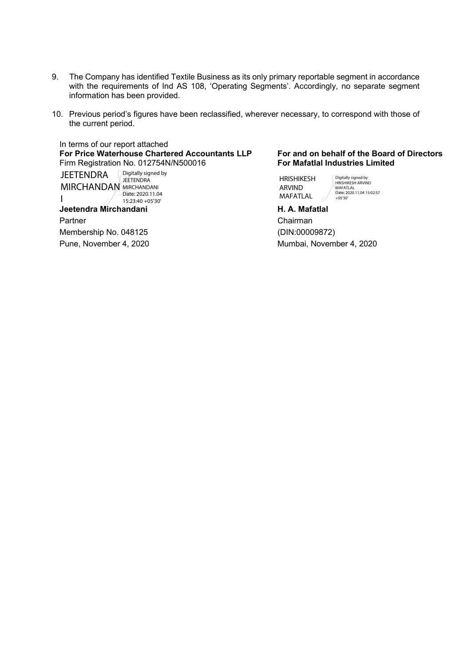- 9. The Company has identified Textile Business as its only primary reportable segment in accordance with the requirements of Ind AS 108, 'Operating Segments'. Accordingly, no separate segment information has been provided.
- 10. Previous period's figures have been reclassified, wherever necessary, to correspond with those of the current period.

In terms of our report attached **For Price Waterhouse Chartered Accountants LLP** Firm Registration No. 012754N/N500016 **Jeetendra Mirchandani H. A. Mafatlal**  Partner Chairman Membership No. 048125 (DIN:00009872) Pune, November 4, 2020 **Mumbai, November 4, 2020 JEETENDRA** MIRCHANDAN MIRCHANDANI I Digitally signed by **JEETENDRA** Date: 2020.11.04 15:23:40 +05'30'

**For and on behalf of the Board of Directors For Mafatlal Industries Limited** 

HRISHIKESH ARVIND MAFATLAL Digitally signed by HRISHIKESH ARVIND MAFATLAL

Date: 2020.11.04 15:02:57 +05'30'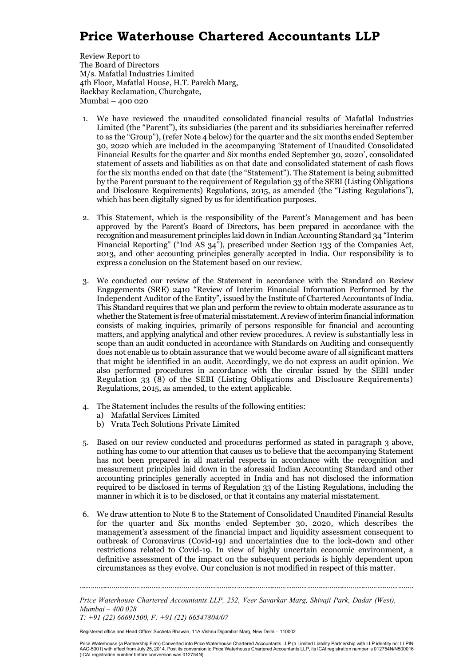## **Price Waterhouse Chartered Accountants LLP**

Review Report to The Board of Directors M/s. Mafatlal Industries Limited 4th Floor, Mafatlal House, H.T. Parekh Marg, Backbay Reclamation, Churchgate, Mumbai – 400 020

- 1. We have reviewed the unaudited consolidated financial results of Mafatlal Industries Limited (the "Parent"), its subsidiaries (the parent and its subsidiaries hereinafter referred to as the "Group"), (refer Note 4 below) for the quarter and the six months ended September 30, 2020 which are included in the accompanying 'Statement of Unaudited Consolidated Financial Results for the quarter and Six months ended September 30, 2020', consolidated statement of assets and liabilities as on that date and consolidated statement of cash flows for the six months ended on that date (the "Statement"). The Statement is being submitted by the Parent pursuant to the requirement of Regulation 33 of the SEBI (Listing Obligations and Disclosure Requirements) Regulations, 2015, as amended (the "Listing Regulations"), which has been digitally signed by us for identification purposes.
- 2. This Statement, which is the responsibility of the Parent's Management and has been approved by the Parent's Board of Directors, has been prepared in accordance with the recognition and measurement principles laid down in Indian Accounting Standard 34 "Interim Financial Reporting" ("Ind AS 34"), prescribed under Section 133 of the Companies Act, 2013, and other accounting principles generally accepted in India. Our responsibility is to express a conclusion on the Statement based on our review.
- 3. We conducted our review of the Statement in accordance with the Standard on Review Engagements (SRE) 2410 "Review of Interim Financial Information Performed by the Independent Auditor of the Entity"*,* issued by the Institute of Chartered Accountants of India. This Standard requires that we plan and perform the review to obtain moderate assurance as to whether the Statement is free of material misstatement. A review of interim financial information consists of making inquiries, primarily of persons responsible for financial and accounting matters, and applying analytical and other review procedures. A review is substantially less in scope than an audit conducted in accordance with Standards on Auditing and consequently does not enable us to obtain assurance that we would become aware of all significant matters that might be identified in an audit. Accordingly, we do not express an audit opinion. We also performed procedures in accordance with the circular issued by the SEBI under Regulation 33 (8) of the SEBI (Listing Obligations and Disclosure Requirements) Regulations, 2015, as amended, to the extent applicable.
- 4. The Statement includes the results of the following entities:
	- a) Mafatlal Services Limited
	- b) Vrata Tech Solutions Private Limited
- 5. Based on our review conducted and procedures performed as stated in paragraph 3 above, nothing has come to our attention that causes us to believe that the accompanying Statement has not been prepared in all material respects in accordance with the recognition and measurement principles laid down in the aforesaid Indian Accounting Standard and other accounting principles generally accepted in India and has not disclosed the information required to be disclosed in terms of Regulation 33 of the Listing Regulations, including the manner in which it is to be disclosed, or that it contains any material misstatement.
- 6. We draw attention to Note 8 to the Statement of Consolidated Unaudited Financial Results for the quarter and Six months ended September 30, 2020, which describes the management's assessment of the financial impact and liquidity assessment consequent to outbreak of Coronavirus (Covid-19) and uncertainties due to the lock-down and other restrictions related to Covid-19. In view of highly uncertain economic environment, a definitive assessment of the impact on the subsequent periods is highly dependent upon circumstances as they evolve. Our conclusion is not modified in respect of this matter.

*Price Waterhouse Chartered Accountants LLP, 252, Veer Savarkar Marg, Shivaji Park, Dadar (West), Mumbai – 400 028* 

*T: +91 (22) 66691500, F: +91 (22) 66547804/07* 

Registered office and Head Office: Sucheta Bhawan, 11A Vishnu Digambar Marg, New Delhi – 110002

Price Waterhouse (a Partnership Firm) Converted into Price Waterhouse Chartered Accountants LLP (a Limited Liability Partnership with LLP identity no: LLPIN<br>AAC-5001) with effect from July 25, 2014. Post its conversion to (ICAI registration number before conversion was 012754N)